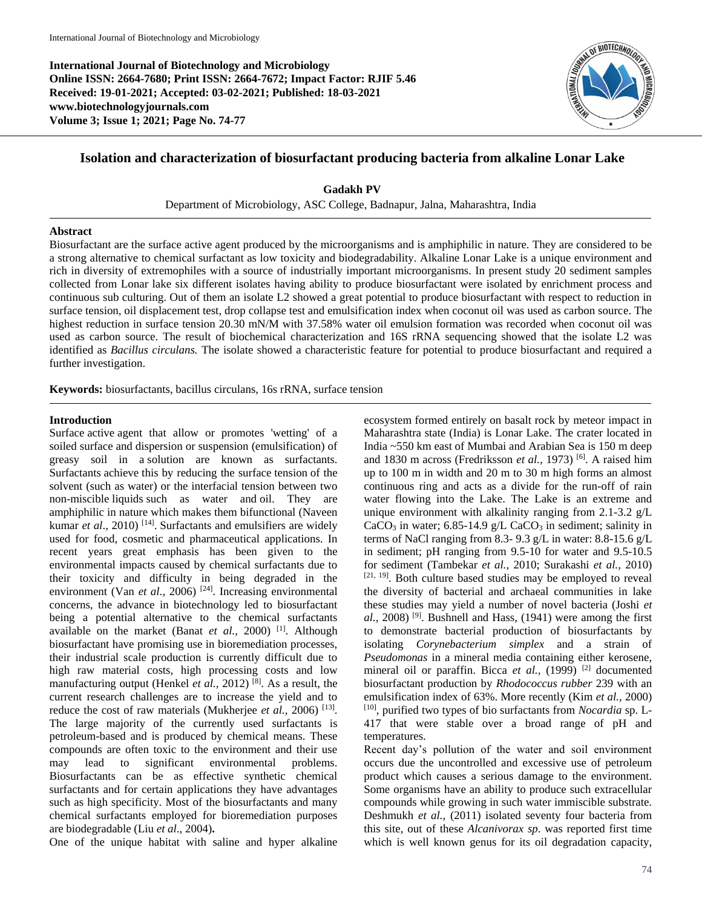**International Journal of Biotechnology and Microbiology Online ISSN: 2664-7680; Print ISSN: 2664-7672; Impact Factor: RJIF 5.46 Received: 19-01-2021; Accepted: 03-02-2021; Published: 18-03-2021 www.biotechnologyjournals.com Volume 3; Issue 1; 2021; Page No. 74-77**



# **Isolation and characterization of biosurfactant producing bacteria from alkaline Lonar Lake**

**Gadakh PV** Department of Microbiology, ASC College, Badnapur, Jalna, Maharashtra, India

#### **Abstract**

Biosurfactant are the surface active agent produced by the microorganisms and is amphiphilic in nature. They are considered to be a strong alternative to chemical surfactant as low toxicity and biodegradability. Alkaline Lonar Lake is a unique environment and rich in diversity of extremophiles with a source of industrially important microorganisms. In present study 20 sediment samples collected from Lonar lake six different isolates having ability to produce biosurfactant were isolated by enrichment process and continuous sub culturing. Out of them an isolate L2 showed a great potential to produce biosurfactant with respect to reduction in surface tension, oil displacement test, drop collapse test and emulsification index when coconut oil was used as carbon source. The highest reduction in surface tension 20.30 mN/M with 37.58% water oil emulsion formation was recorded when coconut oil was used as carbon source. The result of biochemical characterization and 16S rRNA sequencing showed that the isolate L2 was identified as *Bacillus circulans.* The isolate showed a characteristic feature for potential to produce biosurfactant and required a further investigation.

**Keywords:** biosurfactants, bacillus circulans, 16s rRNA, surface tension

#### **Introduction**

Surface active agent that allow or promotes 'wetting' of a soiled surface and dispersion or suspension (emulsification) of greasy soil in a solution are known as surfactants. Surfactants achieve this by reducing the surface tension of the solvent (such as water) or the interfacial tension between two non-miscible liquids such as water and oil. They are amphiphilic in nature which makes them bifunctional (Naveen kumar *et al.*, 2010)<sup>[14]</sup>. Surfactants and emulsifiers are widely used for food, cosmetic and pharmaceutical applications. In recent years great emphasis has been given to the environmental impacts caused by chemical surfactants due to their toxicity and difficulty in being degraded in the environment (Van *et al.*, 2006)<sup>[24]</sup>. Increasing environmental concerns, the advance in biotechnology led to biosurfactant being a potential alternative to the chemical surfactants available on the market (Banat *et al.,* 2000) [1]. Although biosurfactant have promising use in bioremediation processes, their industrial scale production is currently difficult due to high raw material costs, high processing costs and low manufacturing output (Henkel *et al.*, 2012)<sup>[8]</sup>. As a result, the current research challenges are to increase the yield and to reduce the cost of raw materials (Mukherjee *et al.*, 2006)<sup>[13]</sup>. The large majority of the currently used surfactants is petroleum-based and is produced by chemical means. These compounds are often toxic to the environment and their use may lead to significant environmental problems. Biosurfactants can be as effective synthetic chemical surfactants and for certain applications they have advantages such as high specificity. Most of the biosurfactants and many chemical surfactants employed for bioremediation purposes are biodegradable (Liu *et al*., 2004)**.** 

One of the unique habitat with saline and hyper alkaline

ecosystem formed entirely on basalt rock by meteor impact in Maharashtra state (India) is Lonar Lake. The crater located in India ~550 km east of Mumbai and Arabian Sea is 150 m deep and 1830 m across (Fredriksson et al., 1973)<sup>[6]</sup>. A raised him up to 100 m in width and 20 m to 30 m high forms an almost continuous ring and acts as a divide for the run-off of rain water flowing into the Lake. The Lake is an extreme and unique environment with alkalinity ranging from 2.1-3.2 g/L CaCO<sub>3</sub> in water; 6.85-14.9 g/L CaCO<sub>3</sub> in sediment; salinity in terms of NaCl ranging from 8.3- 9.3 g/L in water: 8.8-15.6 g/L in sediment; pH ranging from 9.5-10 for water and 9.5-10.5 for sediment (Tambekar *et al.,* 2010; Surakashi *et al.,* 2010) [21, 19] . Both culture based studies may be employed to reveal the diversity of bacterial and archaeal communities in lake these studies may yield a number of novel bacteria (Joshi *et*   $al$ , 2008)<sup>[9]</sup>. Bushnell and Hass,  $(1941)$  were among the first to demonstrate bacterial production of biosurfactants by isolating *Corynebacterium simplex* and a strain of *Pseudomonas* in a mineral media containing either kerosene, mineral oil or paraffin. Bicca *et al.*, (1999)<sup>[2]</sup> documented biosurfactant production by *Rhodococcus rubber* 239 with an emulsification index of 63%. More recently (Kim *et al.,* 2000) [10], purified two types of bio surfactants from *Nocardia* sp. L-417 that were stable over a broad range of pH and temperatures.

Recent day's pollution of the water and soil environment occurs due the uncontrolled and excessive use of petroleum product which causes a serious damage to the environment. Some organisms have an ability to produce such extracellular compounds while growing in such water immiscible substrate. Deshmukh *et al.,* (2011) isolated seventy four bacteria from this site, out of these *Alcanivorax sp*. was reported first time which is well known genus for its oil degradation capacity,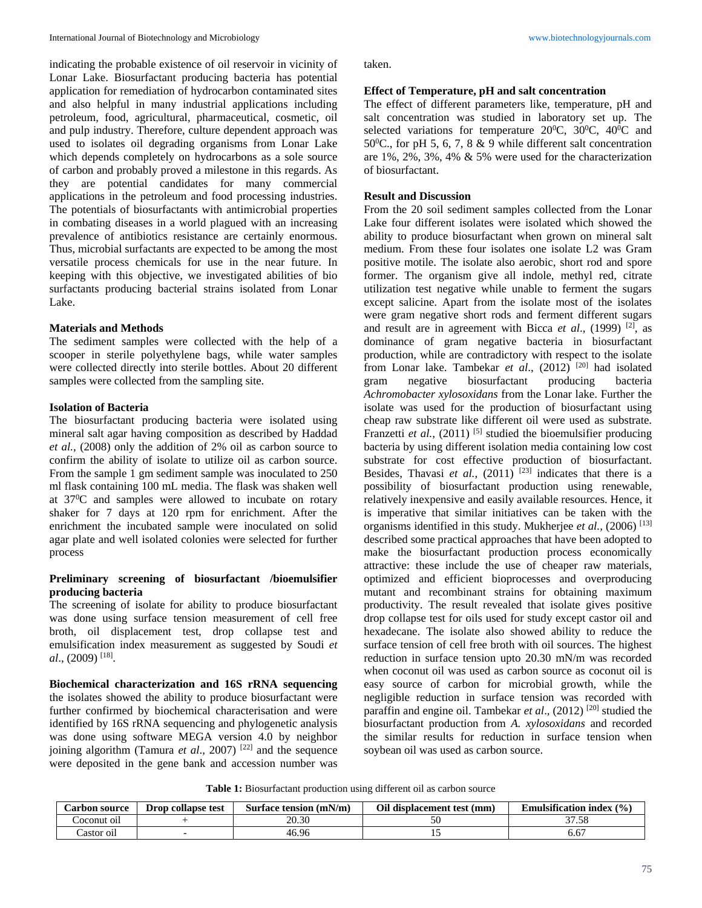indicating the probable existence of oil reservoir in vicinity of Lonar Lake. Biosurfactant producing bacteria has potential application for remediation of hydrocarbon contaminated sites and also helpful in many industrial applications including petroleum, food, agricultural, pharmaceutical, cosmetic, oil and pulp industry. Therefore, culture dependent approach was used to isolates oil degrading organisms from Lonar Lake which depends completely on hydrocarbons as a sole source of carbon and probably proved a milestone in this regards. As they are potential candidates for many commercial applications in the petroleum and food processing industries. The potentials of biosurfactants with antimicrobial properties in combating diseases in a world plagued with an increasing prevalence of antibiotics resistance are certainly enormous. Thus, microbial surfactants are expected to be among the most versatile process chemicals for use in the near future. In keeping with this objective, we investigated abilities of bio surfactants producing bacterial strains isolated from Lonar Lake.

# **Materials and Methods**

The sediment samples were collected with the help of a scooper in sterile polyethylene bags, while water samples were collected directly into sterile bottles. About 20 different samples were collected from the sampling site.

### **Isolation of Bacteria**

The biosurfactant producing bacteria were isolated using mineral salt agar having composition as described by Haddad *et al.*, (2008) only the addition of 2% oil as carbon source to confirm the ability of isolate to utilize oil as carbon source. From the sample 1 gm sediment sample was inoculated to 250 ml flask containing 100 mL media. The flask was shaken well at 37<sup>0</sup>C and samples were allowed to incubate on rotary shaker for 7 days at 120 rpm for enrichment. After the enrichment the incubated sample were inoculated on solid agar plate and well isolated colonies were selected for further process

# **Preliminary screening of biosurfactant /bioemulsifier producing bacteria**

The screening of isolate for ability to produce biosurfactant was done using surface tension measurement of cell free broth, oil displacement test, drop collapse test and emulsification index measurement as suggested by Soudi *et al*., (2009) [18] .

**Biochemical characterization and 16S rRNA sequencing**  the isolates showed the ability to produce biosurfactant were further confirmed by biochemical characterisation and were identified by 16S rRNA sequencing and phylogenetic analysis was done using software MEGA version 4.0 by neighbor joining algorithm (Tamura *et al.*, 2007)<sup>[22]</sup> and the sequence were deposited in the gene bank and accession number was taken.

#### **Effect of Temperature, pH and salt concentration**

The effect of different parameters like, temperature, pH and salt concentration was studied in laboratory set up. The selected variations for temperature  $20^{\circ}$ C,  $30^{\circ}$ C,  $40^{\circ}$ C and 50 $^{\circ}$ C., for pH 5, 6, 7, 8 & 9 while different salt concentration are 1%, 2%, 3%, 4% & 5% were used for the characterization of biosurfactant.

### **Result and Discussion**

From the 20 soil sediment samples collected from the Lonar Lake four different isolates were isolated which showed the ability to produce biosurfactant when grown on mineral salt medium. From these four isolates one isolate L2 was Gram positive motile. The isolate also aerobic, short rod and spore former. The organism give all indole, methyl red, citrate utilization test negative while unable to ferment the sugars except salicine. Apart from the isolate most of the isolates were gram negative short rods and ferment different sugars and result are in agreement with Bicca *et al*., (1999) [2], as dominance of gram negative bacteria in biosurfactant production, while are contradictory with respect to the isolate from Lonar lake. Tambekar *et al*., (2012) [20] had isolated gram negative biosurfactant producing bacteria *Achromobacter xylosoxidans* from the Lonar lake. Further the isolate was used for the production of biosurfactant using cheap raw substrate like different oil were used as substrate. Franzetti *et al.*, (2011)<sup>[5]</sup> studied the bioemulsifier producing bacteria by using different isolation media containing low cost substrate for cost effective production of biosurfactant. Besides, Thavasi *et al.*,  $(2011)$ <sup>[23]</sup> indicates that there is a possibility of biosurfactant production using renewable, relatively inexpensive and easily available resources. Hence, it is imperative that similar initiatives can be taken with the organisms identified in this study. Mukherjee *et al.,* (2006) [13] described some practical approaches that have been adopted to make the biosurfactant production process economically attractive: these include the use of cheaper raw materials, optimized and efficient bioprocesses and overproducing mutant and recombinant strains for obtaining maximum productivity. The result revealed that isolate gives positive drop collapse test for oils used for study except castor oil and hexadecane. The isolate also showed ability to reduce the surface tension of cell free broth with oil sources. The highest reduction in surface tension upto 20.30 mN/m was recorded when coconut oil was used as carbon source as coconut oil is easy source of carbon for microbial growth, while the negligible reduction in surface tension was recorded with paraffin and engine oil. Tambekar *et al.*, (2012)<sup>[20]</sup> studied the biosurfactant production from *A. xylosoxidans* and recorded the similar results for reduction in surface tension when soybean oil was used as carbon source.

**Table 1:** Biosurfactant production using different oil as carbon source

| <b>Carbon source</b> | <b>Drop collapse test</b> | Surface tension (mN/m) | Oil dis<br>l displacement test (mm) | index $(\% )$<br><b>Emulsification</b> |
|----------------------|---------------------------|------------------------|-------------------------------------|----------------------------------------|
| oconut oil           |                           | 20.30                  | οU                                  | ەد. ، د                                |
| 'astor oil           |                           | 46.96                  | ∸~                                  | 6.0                                    |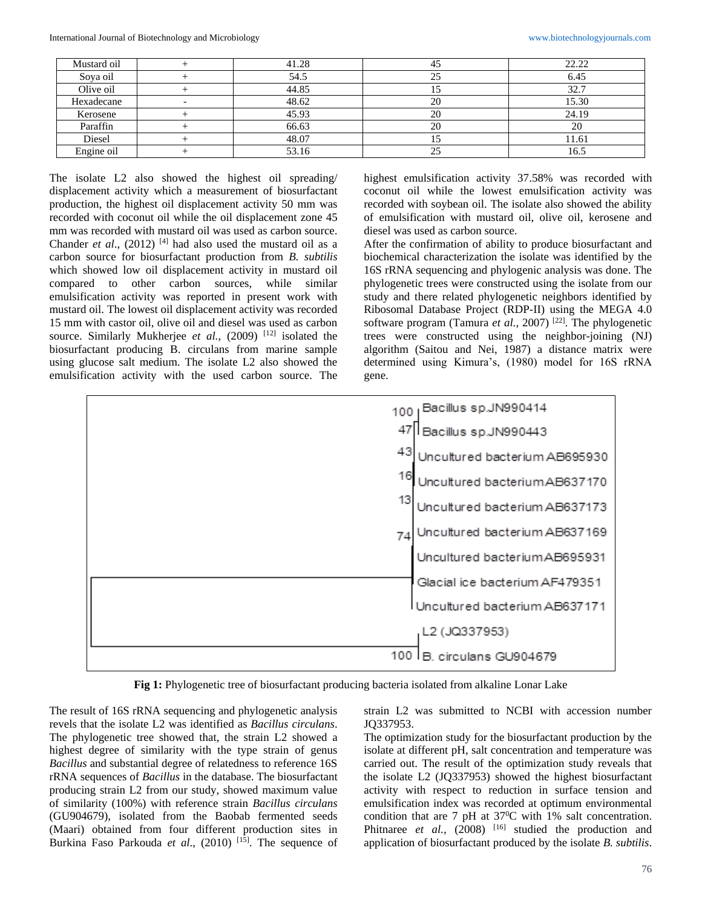| Mustard oil | 41.28 | 45  | 22.22 |
|-------------|-------|-----|-------|
| Sova oil    | 54.5  | 25  | 6.45  |
| Olive oil   | 44.85 | L J | 32.7  |
| Hexadecane  | 48.62 | 20  | 15.30 |
| Kerosene    | 45.93 | 20  | 24.19 |
| Paraffin    | 66.63 | 20  | 20    |
| Diesel      | 48.07 | IJ  | 11.61 |
| Engine oil  | 53.16 | 25  | 16.5  |

The isolate L2 also showed the highest oil spreading/ displacement activity which a measurement of biosurfactant production, the highest oil displacement activity 50 mm was recorded with coconut oil while the oil displacement zone 45 mm was recorded with mustard oil was used as carbon source. Chander *et al.*, (2012) <sup>[4]</sup> had also used the mustard oil as a carbon source for biosurfactant production from *B. subtilis* which showed low oil displacement activity in mustard oil compared to other carbon sources, while similar emulsification activity was reported in present work with mustard oil. The lowest oil displacement activity was recorded 15 mm with castor oil, olive oil and diesel was used as carbon source. Similarly Mukherjee *et al.*, (2009)<sup>[12]</sup> isolated the biosurfactant producing B. circulans from marine sample using glucose salt medium. The isolate L2 also showed the emulsification activity with the used carbon source. The highest emulsification activity 37.58% was recorded with coconut oil while the lowest emulsification activity was recorded with soybean oil. The isolate also showed the ability of emulsification with mustard oil, olive oil, kerosene and diesel was used as carbon source.

After the confirmation of ability to produce biosurfactant and biochemical characterization the isolate was identified by the 16S rRNA sequencing and phylogenic analysis was done. The phylogenetic trees were constructed using the isolate from our study and there related phylogenetic neighbors identified by Ribosomal Database Project (RDP-II) using the MEGA 4.0 software program (Tamura *et al.*, 2007)<sup>[22]</sup>. The phylogenetic trees were constructed using the neighbor-joining (NJ) algorithm (Saitou and Nei, 1987) a distance matrix were determined using Kimura's, (1980) model for 16S rRNA gene.



**Fig 1:** Phylogenetic tree of biosurfactant producing bacteria isolated from alkaline Lonar Lake

The result of 16S rRNA sequencing and phylogenetic analysis revels that the isolate L2 was identified as *Bacillus circulans*. The phylogenetic tree showed that, the strain L2 showed a highest degree of similarity with the type strain of genus *Bacillus* and substantial degree of relatedness to reference 16S rRNA sequences of *Bacillus* in the database. The biosurfactant producing strain L2 from our study, showed maximum value of similarity (100%) with reference strain *Bacillus circulans* (GU904679), isolated from the Baobab fermented seeds (Maari) obtained from four different production sites in Burkina Faso Parkouda *et al.*, (2010) <sup>[15]</sup>. The sequence of strain L2 was submitted to NCBI with accession number JQ337953.

The optimization study for the biosurfactant production by the isolate at different pH, salt concentration and temperature was carried out. The result of the optimization study reveals that the isolate L2 (JQ337953) showed the highest biosurfactant activity with respect to reduction in surface tension and emulsification index was recorded at optimum environmental condition that are 7 pH at  $37^{\circ}$ C with 1% salt concentration. Phitnaree *et al.*,  $(2008)$ <sup>[16]</sup> studied the production and application of biosurfactant produced by the isolate *B. subtilis*.